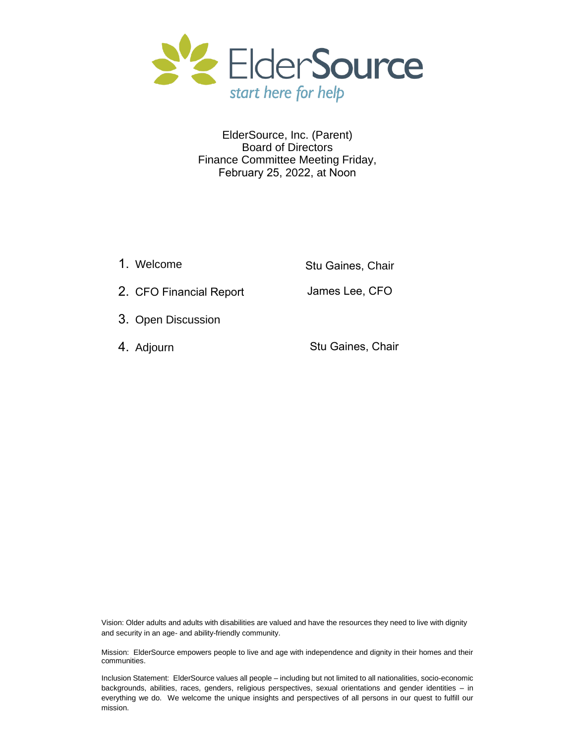

#### ElderSource, Inc. (Parent) Board of Directors Finance Committee Meeting Friday, February 25, 2022, at Noon

| 1. Welcome              | Stu Gaines, Chair |
|-------------------------|-------------------|
| 2. CFO Financial Report | James Lee, CFO    |
| 3. Open Discussion      |                   |
| 4. Adjourn              | Stu Gaines, Chair |

Vision: Older adults and adults with disabilities are valued and have the resources they need to live with dignity and security in an age- and ability-friendly community.

Mission: ElderSource empowers people to live and age with independence and dignity in their homes and their communities.

Inclusion Statement: ElderSource values all people – including but not limited to all nationalities, socio-economic backgrounds, abilities, races, genders, religious perspectives, sexual orientations and gender identities – in everything we do. We welcome the unique insights and perspectives of all persons in our quest to fulfill our mission.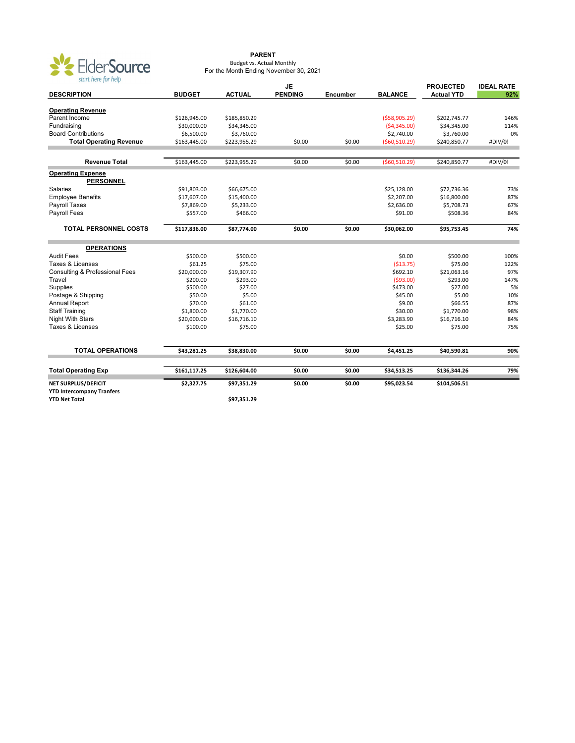

#### **PARENT** Budget vs. Actual Monthly For the Month Ending November 30, 2021

| $\frac{1}{2}$                                            |               |               | <b>PROJECTED</b> | <b>IDEAL RATE</b> |                |                   |         |
|----------------------------------------------------------|---------------|---------------|------------------|-------------------|----------------|-------------------|---------|
| <b>DESCRIPTION</b>                                       | <b>BUDGET</b> | <b>ACTUAL</b> | <b>PENDING</b>   | Encumber          | <b>BALANCE</b> | <b>Actual YTD</b> | 92%     |
|                                                          |               |               |                  |                   |                |                   |         |
| <b>Operating Revenue</b>                                 |               |               |                  |                   |                |                   |         |
| Parent Income                                            | \$126,945.00  | \$185,850.29  |                  |                   | (558,905.29)   | \$202,745.77      | 146%    |
| Fundraising                                              | \$30,000.00   | \$34,345.00   |                  |                   | (54, 345.00)   | \$34,345.00       | 114%    |
| <b>Board Contributions</b>                               | \$6,500.00    | \$3,760.00    |                  |                   | \$2,740.00     | \$3,760.00        | 0%      |
| <b>Total Operating Revenue</b>                           | \$163,445.00  | \$223,955.29  | \$0.00           | \$0.00            | ( \$60,510.29) | \$240,850.77      | #DIV/0! |
| <b>Revenue Total</b>                                     | \$163,445.00  | \$223,955.29  | \$0.00           | \$0.00            | ( \$60,510.29) | \$240,850.77      | #DIV/0! |
| <b>Operating Expense</b>                                 |               |               |                  |                   |                |                   |         |
| <b>PERSONNEL</b>                                         |               |               |                  |                   |                |                   |         |
| Salaries                                                 | \$91,803.00   | \$66,675.00   |                  |                   | \$25,128.00    | \$72,736.36       | 73%     |
| <b>Employee Benefits</b>                                 | \$17,607.00   | \$15,400.00   |                  |                   | \$2,207.00     | \$16,800.00       | 87%     |
| Payroll Taxes                                            | \$7,869.00    | \$5,233.00    |                  |                   | \$2,636.00     | \$5,708.73        | 67%     |
| Payroll Fees                                             | \$557.00      | \$466.00      |                  |                   | \$91.00        | \$508.36          | 84%     |
| <b>TOTAL PERSONNEL COSTS</b>                             | \$117,836.00  | \$87,774.00   | \$0.00           | \$0.00            | \$30,062.00    | \$95,753.45       | 74%     |
| <b>OPERATIONS</b>                                        |               |               |                  |                   |                |                   |         |
| <b>Audit Fees</b>                                        | \$500.00      | \$500.00      |                  |                   | \$0.00         | \$500.00          | 100%    |
| Taxes & Licenses                                         | \$61.25       | \$75.00       |                  |                   | (513.75)       | \$75.00           | 122%    |
| <b>Consulting &amp; Professional Fees</b>                | \$20,000.00   | \$19,307.90   |                  |                   | \$692.10       | \$21,063.16       | 97%     |
| Travel                                                   | \$200.00      | \$293.00      |                  |                   | (593.00)       | \$293.00          | 147%    |
| Supplies                                                 | \$500.00      | \$27.00       |                  |                   | \$473.00       | \$27.00           | 5%      |
| Postage & Shipping                                       | \$50.00       | \$5.00        |                  |                   | \$45.00        | \$5.00            | 10%     |
| Annual Report                                            | \$70.00       | \$61.00       |                  |                   | \$9.00         | \$66.55           | 87%     |
| <b>Staff Training</b>                                    | \$1,800.00    | \$1,770.00    |                  |                   | \$30.00        | \$1,770.00        | 98%     |
| <b>Night With Stars</b>                                  | \$20,000.00   | \$16,716.10   |                  |                   | \$3,283.90     | \$16,716.10       | 84%     |
| Taxes & Licenses                                         | \$100.00      | \$75.00       |                  |                   | \$25.00        | \$75.00           | 75%     |
|                                                          |               |               |                  |                   |                |                   |         |
| <b>TOTAL OPERATIONS</b>                                  | \$43,281.25   | \$38,830.00   | \$0.00           | \$0.00            | \$4,451.25     | \$40,590.81       | 90%     |
| <b>Total Operating Exp</b>                               | \$161,117.25  | \$126,604.00  | \$0.00           | \$0.00            | \$34,513.25    | \$136,344.26      | 79%     |
| NET SURPLUS/DEFICIT                                      | \$2,327.75    | \$97,351.29   | \$0.00           | \$0.00            | \$95,023.54    | \$104,506.51      |         |
| <b>YTD Intercompany Tranfers</b><br><b>YTD Net Total</b> |               | \$97,351.29   |                  |                   |                |                   |         |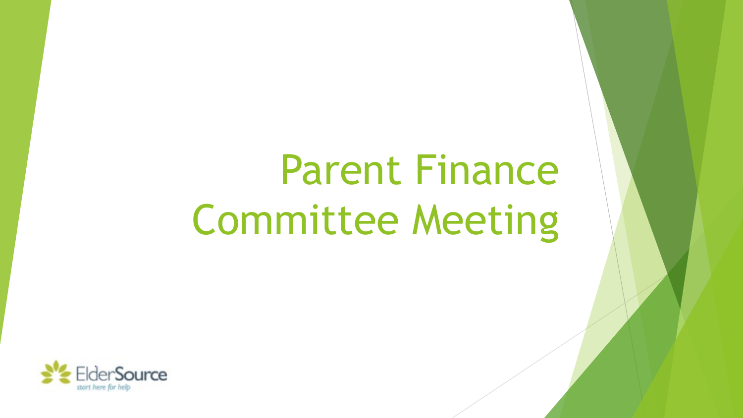# Parent Finance Committee Meeting

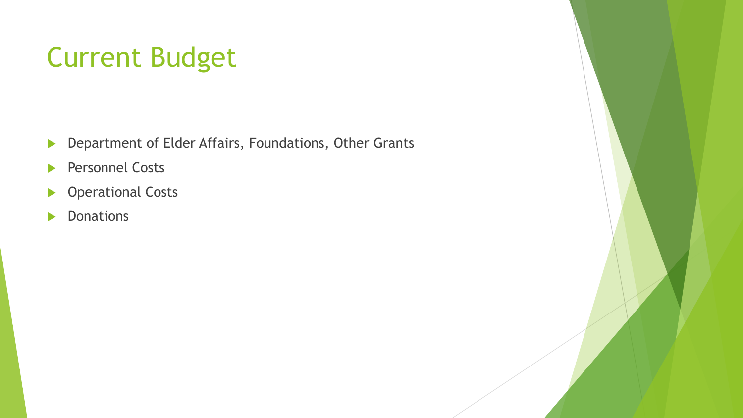# Current Budget

- **Department of Elder Affairs, Foundations, Other Grants**
- **Personnel Costs**
- **Derational Costs**
- **Donations**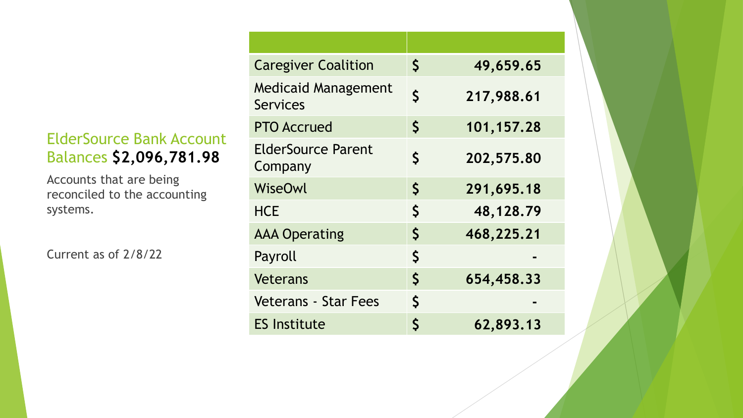#### ElderSource Bank Account Balances **\$2,096,781.98**

Accounts that are being reconciled to the accounting systems.

Current as of 2/8/22

| \$<br>49,659.65            |
|----------------------------|
| $\mathsf{S}$<br>217,988.61 |
| \$<br>101,157.28           |
| \$<br>202,575.80           |
| \$<br>291,695.18           |
| \$<br>48,128.79            |
| $\mathsf{S}$<br>468,225.21 |
| \$                         |
| $\mathsf{S}$<br>654,458.33 |
| \$                         |
| Š<br>62,893.13             |
|                            |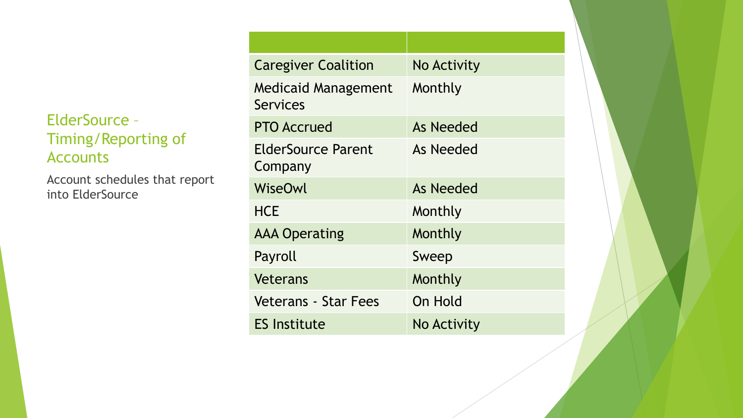#### ElderSource – Timing/Reporting of Accounts

Account schedules that report into ElderSource

| <b>Caregiver Coalition</b>             | <b>No Activity</b> |  |  |  |  |
|----------------------------------------|--------------------|--|--|--|--|
| <b>Medicaid Management</b><br>Services | Monthly            |  |  |  |  |
| <b>PTO Accrued</b>                     | As Needed          |  |  |  |  |
| ElderSource Parent<br>Company          | As Needed          |  |  |  |  |
| WiseOwl                                | As Needed          |  |  |  |  |
| <b>HCE</b>                             | Monthly            |  |  |  |  |
| <b>AAA Operating</b>                   | Monthly            |  |  |  |  |
| Payroll                                | Sweep              |  |  |  |  |
| Veterans                               | Monthly            |  |  |  |  |
| <b>Veterans - Star Fees</b>            | On Hold            |  |  |  |  |
| <b>ES Institute</b>                    | No Activity        |  |  |  |  |
|                                        |                    |  |  |  |  |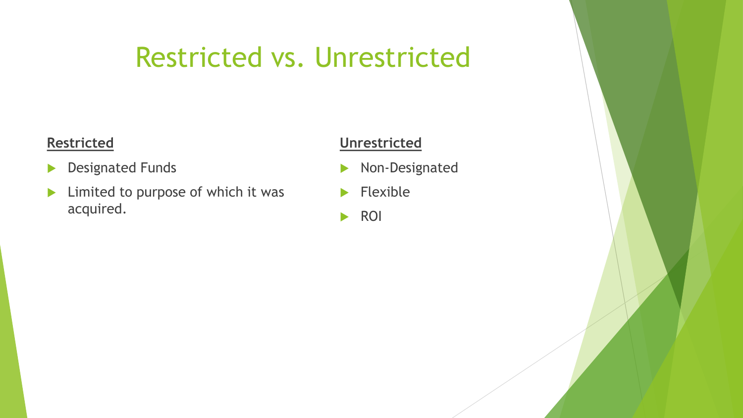## Restricted vs. Unrestricted

#### **Restricted**

- **Designated Funds**
- $\blacktriangleright$  Limited to purpose of which it was acquired.

#### **Unrestricted**

- Non-Designated
- $\blacktriangleright$  Flexible
- **ROI**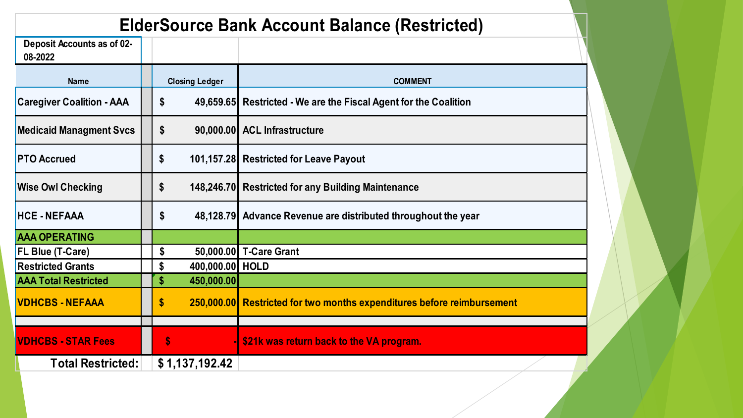### **ElderSource Bank Account Balance (Restricted)**

| <b>Deposit Accounts as of 02-</b><br>08-2022 |                                 |                                                                        |
|----------------------------------------------|---------------------------------|------------------------------------------------------------------------|
| <b>Name</b>                                  | <b>Closing Ledger</b>           | <b>COMMENT</b>                                                         |
| <b>Caregiver Coalition - AAA</b>             | \$                              | 49,659.65 Restricted - We are the Fiscal Agent for the Coalition       |
| <b>Medicaid Managment Svcs</b>               | \$                              | 90,000.00 ACL Infrastructure                                           |
| <b>PTO Accrued</b>                           | \$                              | 101,157.28 Restricted for Leave Payout                                 |
| <b>Wise Owl Checking</b>                     | \$                              | 148,246.70 Restricted for any Building Maintenance                     |
| <b>HCE-NEFAAA</b>                            | \$                              | 48,128.79 Advance Revenue are distributed throughout the year          |
| <b>AAA OPERATING</b>                         |                                 |                                                                        |
| FL Blue (T-Care)                             | \$                              | 50,000.00 T-Care Grant                                                 |
| <b>Restricted Grants</b>                     | 400,000.00 HOLD<br>\$           |                                                                        |
| <b>AAA Total Restricted</b>                  | $\boldsymbol{\$}$<br>450,000.00 |                                                                        |
| <b>VDHCBS - NEFAAA</b>                       | \$                              | 250,000.00 Restricted for two months expenditures before reimbursement |
| <b>VDHCBS - STAR Fees</b>                    | $\boldsymbol{\mathsf{s}}$       | \$21k was return back to the VA program.                               |
| <b>Total Restricted:</b>                     | \$1,137,192.42                  |                                                                        |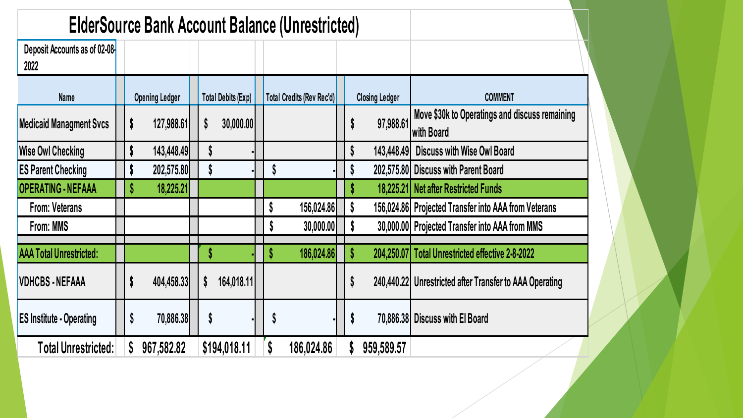| <b>ElderSource Bank Account Balance (Unrestricted)</b> |  |                       |  |                           |  |                           |  |    |                       |                                                              |
|--------------------------------------------------------|--|-----------------------|--|---------------------------|--|---------------------------|--|----|-----------------------|--------------------------------------------------------------|
| Deposit Accounts as of 02-08-<br>2022                  |  |                       |  |                           |  |                           |  |    |                       |                                                              |
| <b>Name</b>                                            |  | <b>Opening Ledger</b> |  | <b>Total Debits (Exp)</b> |  | Total Credits (Rev Rec'd) |  |    | <b>Closing Ledger</b> | <b>COMMENT</b>                                               |
| <b>Medicaid Managment Svcs</b>                         |  | \$<br>127,988.61      |  | S<br>30,000.00            |  |                           |  | S  | 97,988.61             | Move \$30k to Operatings and discuss remaining<br>with Board |
| <b>Wise Owl Checking</b>                               |  | \$<br>143,448.49      |  |                           |  |                           |  |    | 143,448.49            | <b>Discuss with Wise Owl Board</b>                           |
| <b>ES Parent Checking</b>                              |  | \$<br>202,575.80      |  | Y                         |  |                           |  |    |                       | 202,575.80 Discuss with Parent Board                         |
| <b>OPERATING - NEFAAA</b>                              |  | 18,225.21<br>S        |  |                           |  |                           |  |    |                       | 18,225.21 Net after Restricted Funds                         |
| <b>From: Veterans</b>                                  |  |                       |  |                           |  | 156,024.86<br>S           |  | S  |                       | 156,024.86 Projected Transfer into AAA from Veterans         |
| From: MMS                                              |  |                       |  |                           |  | 30,000.00<br>C            |  | \$ |                       | 30,000.00 Projected Transfer into AAA from MMS               |
| <b>AAA Total Unrestricted:</b>                         |  |                       |  | Ъ                         |  | 186,024.86<br>D           |  |    | 204,250.07            | <b>Total Unrestricted effective 2-8-2022</b>                 |
| <b>VDHCBS - NEFAAA</b>                                 |  | \$<br>404,458.33      |  | \$<br>164,018.11          |  |                           |  | S  |                       | 240,440.22 Unrestricted after Transfer to AAA Operating      |
| <b>ES Institute - Operating</b>                        |  | 70,886.38<br>\$       |  | S                         |  |                           |  | S  |                       | 70,886.38 Discuss with El Board                              |
| Total Unrestricted:                                    |  | 967,582.82<br>S       |  | \$194,018.11              |  | S<br>186,024.86           |  |    | 959,589.57            |                                                              |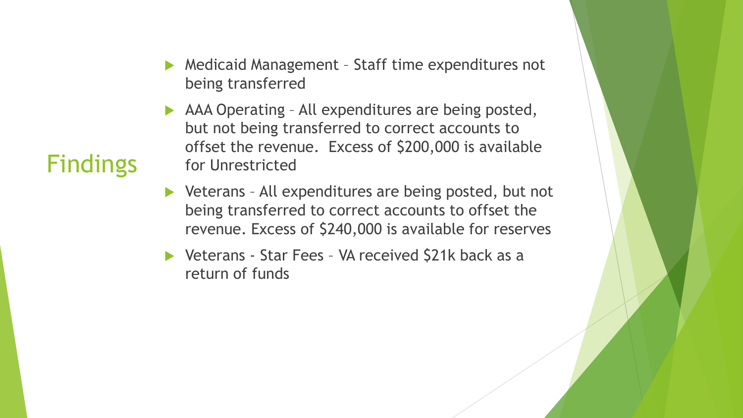- Medicaid Management Staff time expenditures not being transferred
- AAA Operating All expenditures are being posted, but not being transferred to correct accounts to offset the revenue. Excess of \$200,000 is available for Unrestricted
- ▶ Veterans All expenditures are being posted, but not being transferred to correct accounts to offset the revenue. Excess of \$240,000 is available for reserves
- ▶ Veterans Star Fees VA received \$21k back as a return of funds

### **Findings**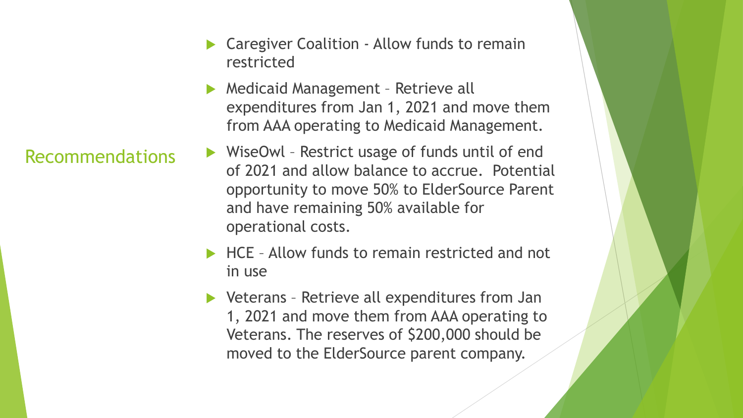Recommendations

- Caregiver Coalition Allow funds to remain restricted
- Medicaid Management Retrieve all expenditures from Jan 1, 2021 and move them from AAA operating to Medicaid Management.
- ▶ WiseOwl Restrict usage of funds until of end of 2021 and allow balance to accrue. Potential opportunity to move 50% to ElderSource Parent and have remaining 50% available for operational costs.
- ▶ HCE Allow funds to remain restricted and not in use
- ▶ Veterans Retrieve all expenditures from Jan 1, 2021 and move them from AAA operating to Veterans. The reserves of \$200,000 should be moved to the ElderSource parent company.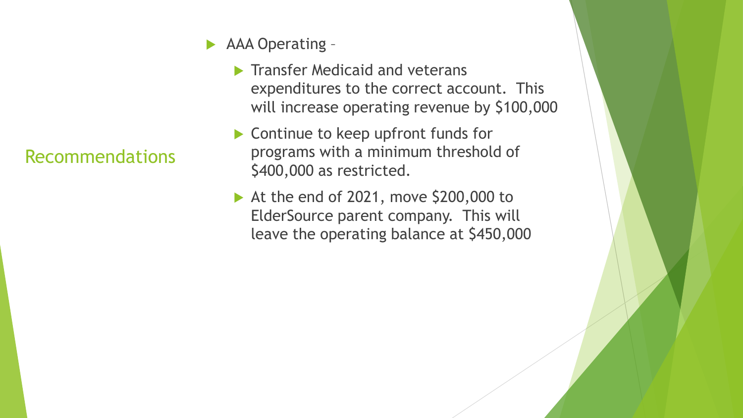- AAA Operating
	- $\blacktriangleright$  Transfer Medicaid and veterans expenditures to the correct account. This will increase operating revenue by \$100,000
	- ▶ Continue to keep upfront funds for programs with a minimum threshold of \$400,000 as restricted.
	- At the end of 2021, move  $$200,000$  to ElderSource parent company. This will leave the operating balance at \$450,000

### Recommendations